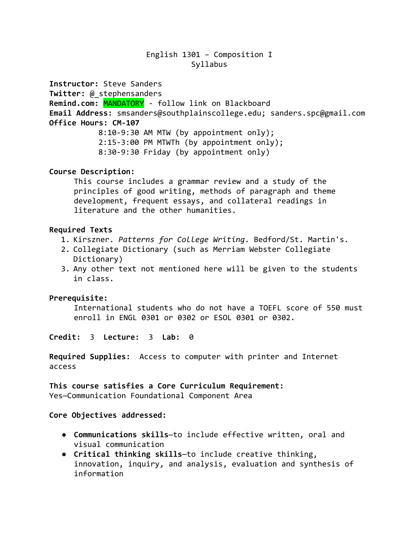# English 1301 – Composition I Syllabus

**Instructor:** Steve Sanders

**Twitter:** @\_stephensanders

**Remind.com:** MANDATORY - follow link on Blackboard **Email Address:** smsanders@southplainscollege.edu; sanders.spc@gmail.com

**Office Hours: CM-107**

8:10-9:30 AM MTW (by appointment only); 2:15-3:00 PM MTWTh (by appointment only); 8:30-9:30 Friday (by appointment only)

# **Course Description:**

This course includes a grammar review and a study of the principles of good writing, methods of paragraph and theme development, frequent essays, and collateral readings in literature and the other humanities.

# **Required Texts**

- 1. Kirszner. *Patterns for College Writing*. Bedford/St. Martin's.
- 2. Collegiate Dictionary (such as Merriam Webster Collegiate Dictionary)
- 3. Any other text not mentioned here will be given to the students in class.

# **Prerequisite:**

International students who do not have a TOEFL score of 550 must enroll in ENGL 0301 or 0302 or ESOL 0301 or 0302.

**Credit:** 3 **Lecture:** 3 **Lab:** 0

**Required Supplies:** Access to computer with printer and Internet access

**This course satisfies a Core Curriculum Requirement:** Yes—Communication Foundational Component Area

# **Core Objectives addressed:**

- **Communications skills**—to include effective written, oral and visual communication
- **Critical thinking skills**—to include creative thinking, innovation, inquiry, and analysis, evaluation and synthesis of information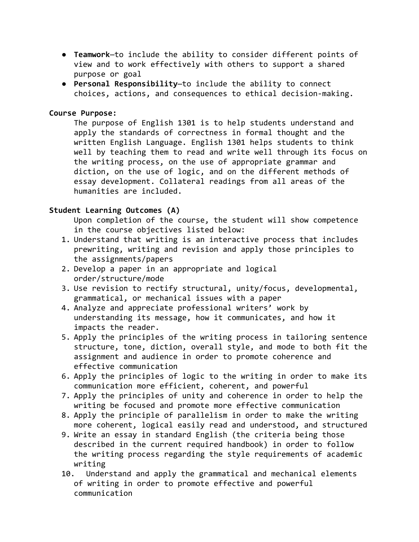- **Teamwork**—to include the ability to consider different points of view and to work effectively with others to support a shared purpose or goal
- **Personal Responsibility**—to include the ability to connect choices, actions, and consequences to ethical decision-making.

## **Course Purpose:**

The purpose of English 1301 is to help students understand and apply the standards of correctness in formal thought and the written English Language. English 1301 helps students to think well by teaching them to read and write well through its focus on the writing process, on the use of appropriate grammar and diction, on the use of logic, and on the different methods of essay development. Collateral readings from all areas of the humanities are included.

# **Student Learning Outcomes (A)**

Upon completion of the course, the student will show competence in the course objectives listed below:

- 1. Understand that writing is an interactive process that includes prewriting, writing and revision and apply those principles to the assignments/papers
- 2. Develop a paper in an appropriate and logical order/structure/mode
- 3. Use revision to rectify structural, unity/focus, developmental, grammatical, or mechanical issues with a paper
- 4. Analyze and appreciate professional writers' work by understanding its message, how it communicates, and how it impacts the reader.
- 5. Apply the principles of the writing process in tailoring sentence structure, tone, diction, overall style, and mode to both fit the assignment and audience in order to promote coherence and effective communication
- 6. Apply the principles of logic to the writing in order to make its communication more efficient, coherent, and powerful
- 7. Apply the principles of unity and coherence in order to help the writing be focused and promote more effective communication
- 8. Apply the principle of parallelism in order to make the writing more coherent, logical easily read and understood, and structured
- 9. Write an essay in standard English (the criteria being those described in the current required handbook) in order to follow the writing process regarding the style requirements of academic writing
- 10. Understand and apply the grammatical and mechanical elements of writing in order to promote effective and powerful communication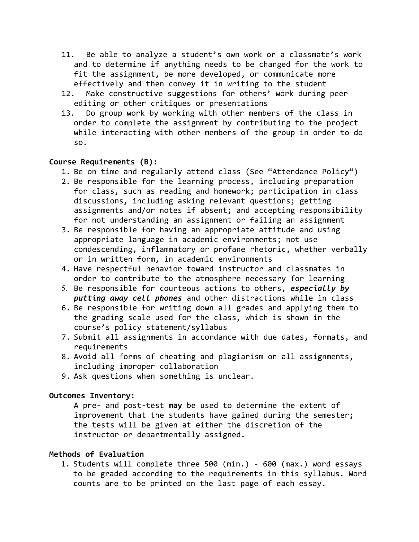- 11. Be able to analyze a student's own work or a classmate's work and to determine if anything needs to be changed for the work to fit the assignment, be more developed, or communicate more effectively and then convey it in writing to the student
- 12. Make constructive suggestions for others' work during peer editing or other critiques or presentations
- 13. Do group work by working with other members of the class in order to complete the assignment by contributing to the project while interacting with other members of the group in order to do so.

### **Course Requirements (B):**

- 1. Be on time and regularly attend class (See "Attendance Policy")
- 2. Be responsible for the learning process, including preparation for class, such as reading and homework; participation in class discussions, including asking relevant questions; getting assignments and/or notes if absent; and accepting responsibility for not understanding an assignment or failing an assignment
- 3. Be responsible for having an appropriate attitude and using appropriate language in academic environments; not use condescending, inflammatory or profane rhetoric, whether verbally or in written form, in academic environments
- 4. Have respectful behavior toward instructor and classmates in order to contribute to the atmosphere necessary for learning
- 5. Be responsible for courteous actions to others, *especially by putting away cell phones* and other distractions while in class
- 6. Be responsible for writing down all grades and applying them to the grading scale used for the class, which is shown in the course's policy statement/syllabus
- 7. Submit all assignments in accordance with due dates, formats, and requirements
- 8. Avoid all forms of cheating and plagiarism on all assignments, including improper collaboration
- 9. Ask questions when something is unclear.

### **Outcomes Inventory:**

A pre- and post-test **may** be used to determine the extent of improvement that the students have gained during the semester; the tests will be given at either the discretion of the instructor or departmentally assigned.

### **Methods of Evaluation**

1. Students will complete three 500 (min.) - 600 (max.) word essays to be graded according to the requirements in this syllabus. Word counts are to be printed on the last page of each essay.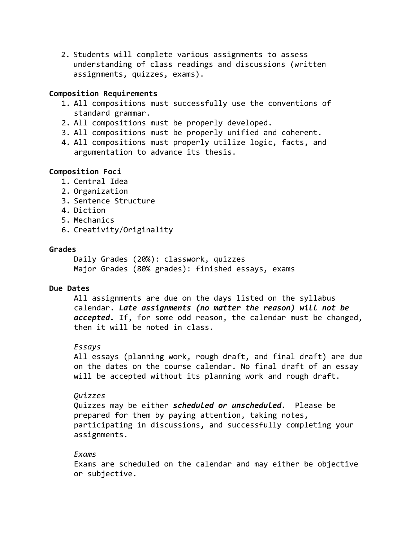2. Students will complete various assignments to assess understanding of class readings and discussions (written assignments, quizzes, exams).

### **Composition Requirements**

- 1. All compositions must successfully use the conventions of standard grammar.
- 2. All compositions must be properly developed.
- 3. All compositions must be properly unified and coherent.
- 4. All compositions must properly utilize logic, facts, and argumentation to advance its thesis.

### **Composition Foci**

- 1. Central Idea
- 2. Organization
- 3. Sentence Structure
- 4. Diction
- 5. Mechanics
- 6. Creativity/Originality

#### **Grades**

Daily Grades (20%): classwork, quizzes Major Grades (80% grades): finished essays, exams

#### **Due Dates**

All assignments are due on the days listed on the syllabus calendar. *Late assignments (no matter the reason) will not be accepted.* If, for some odd reason, the calendar must be changed, then it will be noted in class.

### *Essays*

All essays (planning work, rough draft, and final draft) are due on the dates on the course calendar. No final draft of an essay will be accepted without its planning work and rough draft.

# *Quizzes*

Quizzes may be either *scheduled or unscheduled.* Please be prepared for them by paying attention, taking notes, participating in discussions, and successfully completing your assignments.

#### *Exams*

Exams are scheduled on the calendar and may either be objective or subjective.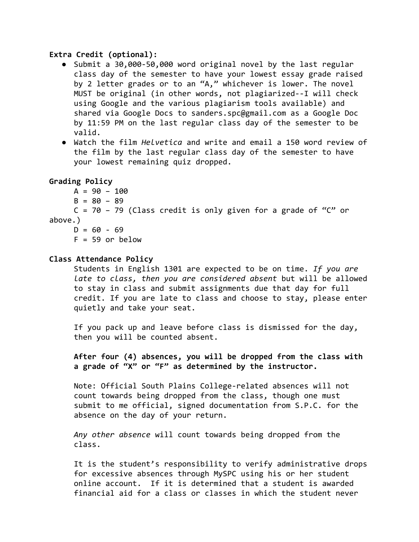### **Extra Credit (optional):**

- Submit a 30,000-50,000 word original novel by the last regular class day of the semester to have your lowest essay grade raised by 2 letter grades or to an "A," whichever is lower. The novel MUST be original (in other words, not plagiarized--I will check using Google and the various plagiarism tools available) and shared via Google Docs to sanders.spc@gmail.com as a Google Doc by 11:59 PM on the last regular class day of the semester to be valid.
- Watch the film *Helvetica* and write and email a 150 word review of the film by the last regular class day of the semester to have your lowest remaining quiz dropped.

### **Grading Policy**

- $A = 90 100$
- $B = 80 89$

```
C = 70 - 79 (Class credit is only given for a grade of "C" or
above.)
```
 $D = 60 - 69$  $F = 59$  or below

### **Class Attendance Policy**

Students in English 1301 are expected to be on time. *If you are late to class, then you are considered absent* but will be allowed to stay in class and submit assignments due that day for full credit. If you are late to class and choose to stay, please enter quietly and take your seat.

If you pack up and leave before class is dismissed for the day, then you will be counted absent.

**After four (4) absences, you will be dropped from the class with a grade of "X" or "F" as determined by the instructor.**

Note: Official South Plains College-related absences will not count towards being dropped from the class, though one must submit to me official, signed documentation from S.P.C. for the absence on the day of your return.

*Any other absence* will count towards being dropped from the class.

It is the student's responsibility to verify administrative drops for excessive absences through MySPC using his or her student online account. If it is determined that a student is awarded financial aid for a class or classes in which the student never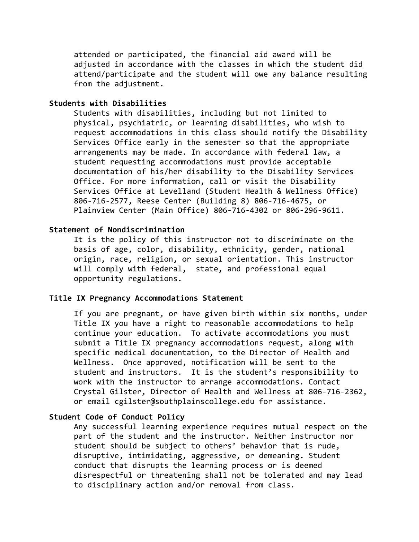attended or participated, the financial aid award will be adjusted in accordance with the classes in which the student did attend/participate and the student will owe any balance resulting from the adjustment.

#### **Students with Disabilities**

Students with disabilities, including but not limited to physical, psychiatric, or learning disabilities, who wish to request accommodations in this class should notify the Disability Services Office early in the semester so that the appropriate arrangements may be made. In accordance with federal law, a student requesting accommodations must provide acceptable documentation of his/her disability to the Disability Services Office. For more information, call or visit the Disability Services Office at Levelland (Student Health & Wellness Office) 806-716-2577, Reese Center (Building 8) 806-716-4675, or Plainview Center (Main Office) 806-716-4302 or 806-296-9611.

## **Statement of Nondiscrimination**

It is the policy of this instructor not to discriminate on the basis of age, color, disability, ethnicity, gender, national origin, race, religion, or sexual orientation. This instructor will comply with federal, state, and professional equal opportunity regulations.

#### **Title IX Pregnancy Accommodations Statement**

If you are pregnant, or have given birth within six months, under Title IX you have a right to reasonable accommodations to help continue your education. To activate accommodations you must submit a Title IX pregnancy accommodations request, along with specific medical documentation, to the Director of Health and Wellness. Once approved, notification will be sent to the student and instructors. It is the student's responsibility to work with the instructor to arrange accommodations. Contact Crystal Gilster, Director of Health and Wellness at 806-716-2362, or email cgilster@southplainscollege.edu for assistance.

### **Student Code of Conduct Policy**

Any successful learning experience requires mutual respect on the part of the student and the instructor. Neither instructor nor student should be subject to others' behavior that is rude, disruptive, intimidating, aggressive, or demeaning**.** Student conduct that disrupts the learning process or is deemed disrespectful or threatening shall not be tolerated and may lead to disciplinary action and/or removal from class.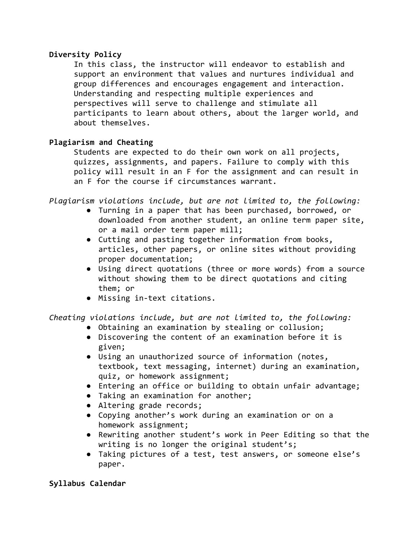# **Diversity Policy**

In this class, the instructor will endeavor to establish and support an environment that values and nurtures individual and group differences and encourages engagement and interaction. Understanding and respecting multiple experiences and perspectives will serve to challenge and stimulate all participants to learn about others, about the larger world, and about themselves.

# **Plagiarism and Cheating**

Students are expected to do their own work on all projects, quizzes, assignments, and papers. Failure to comply with this policy will result in an F for the assignment and can result in an F for the course if circumstances warrant.

*Plagiarism violations include, but are not limited to, the following:*

- Turning in a paper that has been purchased, borrowed, or downloaded from another student, an online term paper site, or a mail order term paper mill;
- Cutting and pasting together information from books, articles, other papers, or online sites without providing proper documentation;
- Using direct quotations (three or more words) from a source without showing them to be direct quotations and citing them; or
- Missing in-text citations.

*Cheating violations include, but are not limited to, the following:*

- Obtaining an examination by stealing or collusion;
- Discovering the content of an examination before it is given;
- Using an unauthorized source of information (notes, textbook, text messaging, internet) during an examination, quiz, or homework assignment;
- Entering an office or building to obtain unfair advantage;
- Taking an examination for another;
- Altering grade records;
- Copying another's work during an examination or on a homework assignment;
- Rewriting another student's work in Peer Editing so that the writing is no longer the original student's;
- Taking pictures of a test, test answers, or someone else's paper.

# **Syllabus Calendar**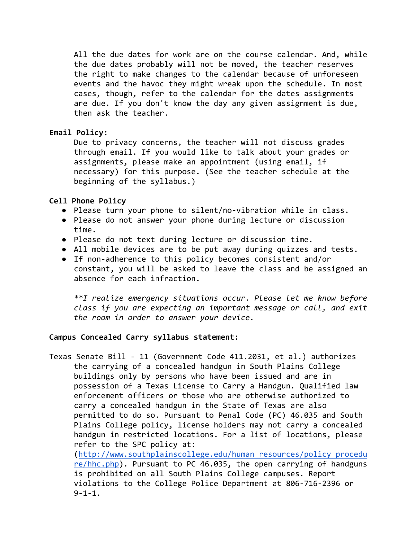All the due dates for work are on the course calendar. And, while the due dates probably will not be moved, the teacher reserves the right to make changes to the calendar because of unforeseen events and the havoc they might wreak upon the schedule. In most cases, though, refer to the calendar for the dates assignments are due. If you don't know the day any given assignment is due, then ask the teacher.

### **Email Policy:**

Due to privacy concerns, the teacher will not discuss grades through email. If you would like to talk about your grades or assignments, please make an appointment (using email, if necessary) for this purpose. (See the teacher schedule at the beginning of the syllabus.)

### **Cell Phone Policy**

 $9 - 1 - 1$ .

- Please turn your phone to silent/no-vibration while in class.
- Please do not answer your phone during lecture or discussion time.
- Please do not text during lecture or discussion time.
- All mobile devices are to be put away during quizzes and tests.
- If non-adherence to this policy becomes consistent and/or constant, you will be asked to leave the class and be assigned an absence for each infraction.

*\*\*I realize emergency situations occur. Please let me know before class if you are expecting an important message or call, and exit the room in order to answer your device.*

### **Campus Concealed Carry syllabus statement:**

Texas Senate Bill - 11 (Government Code 411.2031, et al.) authorizes the carrying of a concealed handgun in South Plains College buildings only by persons who have been issued and are in possession of a Texas License to Carry a Handgun. Qualified law enforcement officers or those who are otherwise authorized to carry a concealed handgun in the State of Texas are also permitted to do so. Pursuant to Penal Code (PC) 46.035 and South Plains College policy, license holders may not carry a concealed handgun in restricted locations. For a list of locations, please refer to the SPC policy at: ([http://www.southplainscollege.edu/human\\_resources/policy\\_procedu](http://www.southplainscollege.edu/human_resources/policy_procedure/hhc.php) [re/hhc.php\)](http://www.southplainscollege.edu/human_resources/policy_procedure/hhc.php). Pursuant to PC 46.035, the open carrying of handguns is prohibited on all South Plains College campuses. Report violations to the College Police Department at 806-716-2396 or